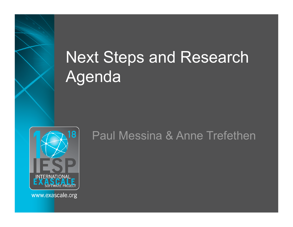# Next Steps and Research Agenda



Paul Messina & Anne Trefethen

www.exascale.org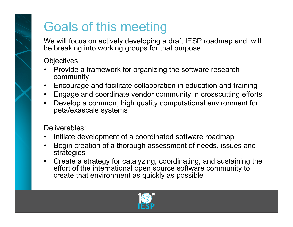#### Goals of this meeting

We will focus on actively developing a draft IESP roadmap and will be breaking into working groups for that purpose.

Objectives:

- Provide a framework for organizing the software research community
- Encourage and facilitate collaboration in education and training
- Engage and coordinate vendor community in crosscutting efforts
- Develop a common, high quality computational environment for peta/exascale systems

Deliverables:

- Initiate development of a coordinated software roadmap
- Begin creation of a thorough assessment of needs, issues and strategies
- Create a strategy for catalyzing, coordinating, and sustaining the effort of the international open source software community to create that environment as quickly as possible

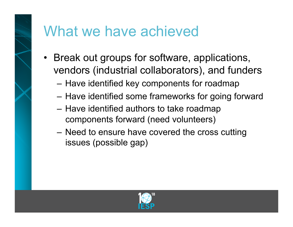

#### What we have achieved

- Break out groups for software, applications, vendors (industrial collaborators), and funders
	- Have identified key components for roadmap
	- Have identified some frameworks for going forward
	- Have identified authors to take roadmap components forward (need volunteers)
	- Need to ensure have covered the cross cutting issues (possible gap)

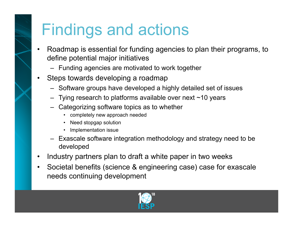## Findings and actions

- Roadmap is essential for funding agencies to plan their programs, to define potential major initiatives
	- Funding agencies are motivated to work together
- Steps towards developing a roadmap
	- Software groups have developed a highly detailed set of issues
	- $-$  Tying research to platforms available over next  $\sim$ 10 years
	- Categorizing software topics as to whether
		- completely new approach needed
		- Need stopgap solution
		- Implementation issue
	- Exascale software integration methodology and strategy need to be developed
- Industry partners plan to draft a white paper in two weeks
- Societal benefits (science & engineering case) case for exascale needs continuing development

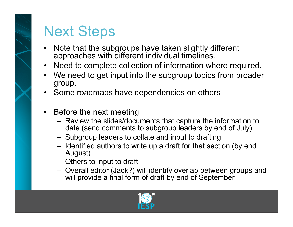

### Next Steps

- Note that the subgroups have taken slightly different approaches with different individual timelines.
- Need to complete collection of information where required.
- We need to get input into the subgroup topics from broader group.
- Some roadmaps have dependencies on others
- Before the next meeting
	- Review the slides/documents that capture the information to date (send comments to subgroup leaders by end of July)
	- Subgroup leaders to collate and input to drafting
	- Identified authors to write up a draft for that section (by end August)
	- Others to input to draft
	- Overall editor (Jack?) will identify overlap between groups and will provide a final form of draft by end of September

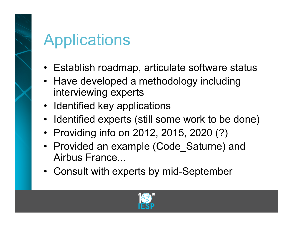# Applications

- Establish roadmap, articulate software status
- Have developed a methodology including interviewing experts
- Identified key applications
- Identified experts (still some work to be done)
- Providing info on 2012, 2015, 2020 (?)
- Provided an example (Code\_Saturne) and Airbus France...
- Consult with experts by mid-September

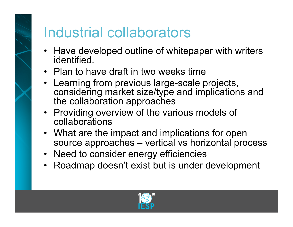### Industrial collaborators

- Have developed outline of whitepaper with writers identified.
- Plan to have draft in two weeks time
- Learning from previous large-scale projects, considering market size/type and implications and the collaboration approaches
- Providing overview of the various models of collaborations
- What are the impact and implications for open source approaches – vertical vs horizontal process
- Need to consider energy efficiencies
- Roadmap doesn't exist but is under development

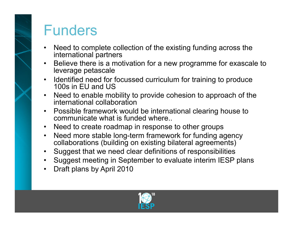### Funders

- Need to complete collection of the existing funding across the international partners
- Believe there is a motivation for a new programme for exascale to leverage petascale
- Identified need for focussed curriculum for training to produce 100s in EU and US
- Need to enable mobility to provide cohesion to approach of the international collaboration
- Possible framework would be international clearing house to communicate what is funded where..
- Need to create roadmap in response to other groups
- Need more stable long-term framework for funding agency collaborations (building on existing bilateral agreements)
- Suggest that we need clear definitions of responsibilities
- Suggest meeting in September to evaluate interim IESP plans
- Draft plans by April 2010

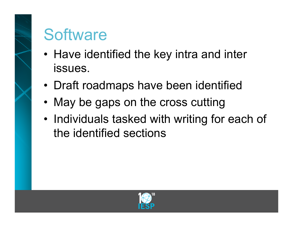# **Software**

- Have identified the key intra and inter issues.
- Draft roadmaps have been identified
- May be gaps on the cross cutting
- Individuals tasked with writing for each of the identified sections